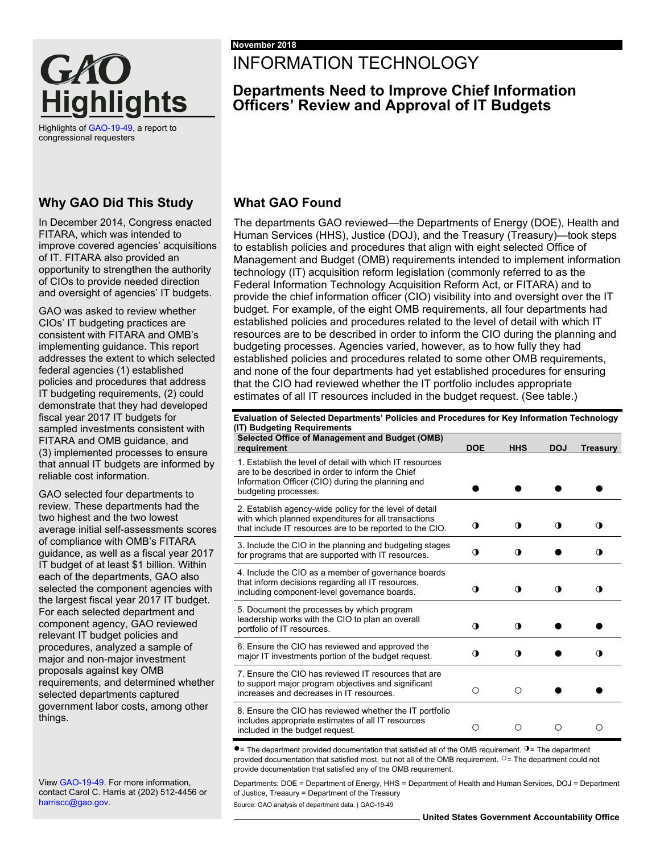

Highlights o[f GAO-19-49,](https://www.gao.gov/products/GAO-19-49) a report to congressional requesters

### **Why GAO Did This Study**

In December 2014, Congress enacted FITARA, which was intended to improve covered agencies' acquisitions of IT. FITARA also provided an opportunity to strengthen the authority of CIOs to provide needed direction and oversight of agencies' IT budgets.

GAO was asked to review whether CIOs' IT budgeting practices are consistent with FITARA and OMB's implementing guidance. This report addresses the extent to which selected federal agencies (1) established policies and procedures that address IT budgeting requirements, (2) could demonstrate that they had developed fiscal year 2017 IT budgets for sampled investments consistent with FITARA and OMB guidance, and (3) implemented processes to ensure that annual IT budgets are informed by reliable cost information.

GAO selected four departments to review. These departments had the two highest and the two lowest average initial self-assessments scores of compliance with OMB's FITARA guidance, as well as a fiscal year 2017 IT budget of at least \$1 billion. Within each of the departments, GAO also selected the component agencies with the largest fiscal year 2017 IT budget. For each selected department and component agency, GAO reviewed relevant IT budget policies and procedures, analyzed a sample of major and non-major investment proposals against key OMB requirements, and determined whether selected departments captured government labor costs, among other things.

Vie[w GAO-19-49.](https://www.gao.gov/products/GAO-19-49) For more information, contact Carol C. Harris at (202) 512-4456 or [harriscc@gao.gov.](mailto:harriscc@gao.gov) 

# INFORMATION TECHNOLOGY

## **Departments Need to Improve Chief Information Officers' Review and Approval of IT Budgets**

## **What GAO Found**

The departments GAO reviewed—the Departments of Energy (DOE), Health and Human Services (HHS), Justice (DOJ), and the Treasury (Treasury)—took steps to establish policies and procedures that align with eight selected Office of Management and Budget (OMB) requirements intended to implement information technology (IT) acquisition reform legislation (commonly referred to as the Federal Information Technology Acquisition Reform Act, or FITARA) and to provide the chief information officer (CIO) visibility into and oversight over the IT budget. For example, of the eight OMB requirements, all four departments had established policies and procedures related to the level of detail with which IT resources are to be described in order to inform the CIO during the planning and budgeting processes. Agencies varied, however, as to how fully they had established policies and procedures related to some other OMB requirements, and none of the four departments had yet established procedures for ensuring that the CIO had reviewed whether the IT portfolio includes appropriate estimates of all IT resources included in the budget request. (See table.)

**Evaluation of Selected Departments' Policies and Procedures for Key Information Technology (IT) Budgeting Requirements Selected Office of Management and Budget (OMB) requirement DOE HHS DOJ Treasury** 1. Establish the level of detail with which IT resources are to be described in order to inform the Chief Information Officer (CIO) during the planning and budgeting processes. <br> **● ●** ● 2. Establish agency-wide policy for the level of detail with which planned expenditures for all transactions that include IT resources are to be reported to the CIO.  $\qquad \qquad \text{①} \qquad \qquad \text{①} \qquad \qquad \text{①}$ 3. Include the CIO in the planning and budgeting stages for programs that are supported with IT resources. ◑ ◑ ● ◑ 4. Include the CIO as a member of governance boards that inform decisions regarding all IT resources, including component-level governance boards. ◑ ◑ ◑ ◑ 5. Document the processes by which program leadership works with the CIO to plan an overall portfolio of IT resources. ◑ ◑ ● ● 6. Ensure the CIO has reviewed and approved the major IT investments portion of the budget request. ◑ ◑ ● ◑ 7. Ensure the CIO has reviewed IT resources that are to support major program objectives and significant increases and decreases in IT resources. ○ ○ ● ● 8. Ensure the CIO has reviewed whether the IT portfolio includes appropriate estimates of all IT resources included in the budget request. ○ ○ ○ ○

●= The department provided documentation that satisfied all of the OMB requirement. ◑= The department provided documentation that satisfied most, but not all of the OMB requirement. <sup>O</sup>= The department could not provide documentation that satisfied any of the OMB requirement.

Departments: DOE = Department of Energy, HHS = Department of Health and Human Services, DOJ = Department of Justice, Treasury = Department of the Treasury Source: GAO analysis of department data. | GAO-19-49